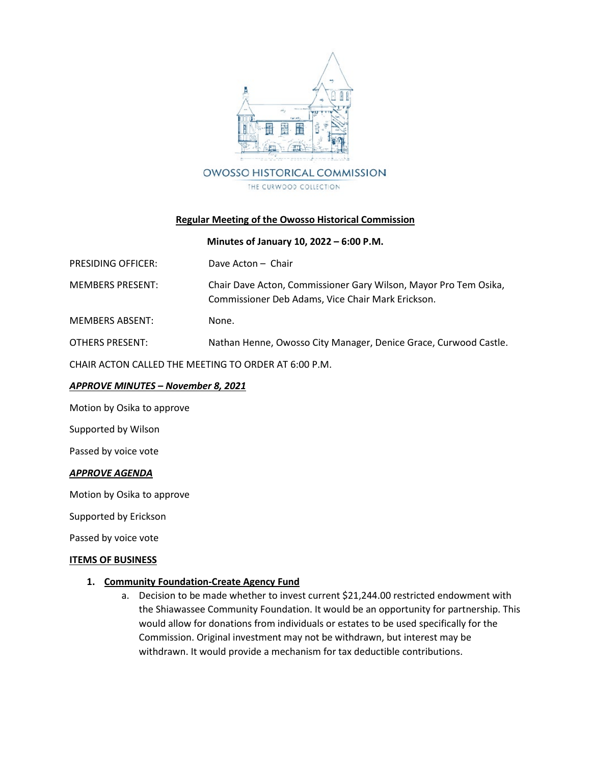

# **Regular Meeting of the Owosso Historical Commission**

## **Minutes of January 10, 2022 – 6:00 P.M.**

| <b>PRESIDING OFFICER:</b>                            | Dave Acton - Chair                                                                                                    |
|------------------------------------------------------|-----------------------------------------------------------------------------------------------------------------------|
| <b>MEMBERS PRESENT:</b>                              | Chair Dave Acton, Commissioner Gary Wilson, Mayor Pro Tem Osika,<br>Commissioner Deb Adams, Vice Chair Mark Erickson. |
| <b>MEMBERS ABSENT:</b>                               | None.                                                                                                                 |
| <b>OTHERS PRESENT:</b>                               | Nathan Henne, Owosso City Manager, Denice Grace, Curwood Castle.                                                      |
| CHAIR ACTON CALLED THE MEETING TO ORDER AT 6:00 P.M. |                                                                                                                       |

## *APPROVE MINUTES – November 8, 2021*

Motion by Osika to approve

Supported by Wilson

Passed by voice vote

#### *APPROVE AGENDA*

Motion by Osika to approve

Supported by Erickson

Passed by voice vote

#### **ITEMS OF BUSINESS**

#### **1. Community Foundation-Create Agency Fund**

a. Decision to be made whether to invest current \$21,244.00 restricted endowment with the Shiawassee Community Foundation. It would be an opportunity for partnership. This would allow for donations from individuals or estates to be used specifically for the Commission. Original investment may not be withdrawn, but interest may be withdrawn. It would provide a mechanism for tax deductible contributions.